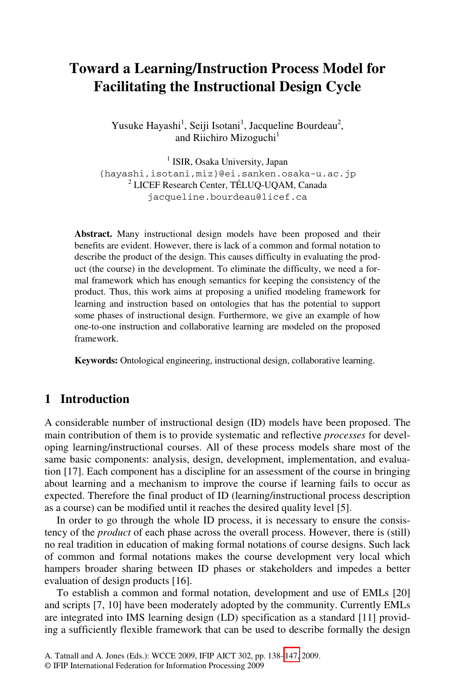# **Toward a Learning/Instruction Process Model for Facilitating the Instructional Design Cycle**

Yusuke Hayashi<sup>1</sup>, Seiji Isotani<sup>1</sup>, Jacqueline Bourdeau<sup>2</sup>, and Riichiro Mizoguchi<sup>1</sup>

<sup>1</sup> ISIR, Osaka University, Japan {hayashi,isotani,miz}@ei.sanken.osaka-u.ac.jp 2 LICEF Research Center, TÉLUQ-UQAM, Canada jacqueline.bourdeau@licef.ca

**Abstract.** Many instructional design models have been proposed and their benefits are evident. However, there is lack of a common and formal notation to describe the product of the design. This causes difficulty in evaluating the product (the course) in the development. To eliminate the difficulty, we need a formal framework which has enough semantics for keeping the consistency of the product. Thus, this work aims at proposing a unified modeling framework for learning and instruction based on ontologies that has the potential to support some phases of instructional design. Furthermore, we give an example of how one-to-one instruction and collaborative learning are modeled on the proposed framework.

**Keywords:** Ontological engineering, instructional design, collaborative learning.

## **1 Introduction**

A considerable number of instructional design (ID) models have been proposed. The main contribution of them is to provide systematic and reflective *processes* for developing learning/instructional courses. All of these process models share most of the same basic components: analysis, design, development, implementation, and evaluation [17]. Each component has a discipline for an assessment of the course in bringing about learning and a mechanism to improve the course if learning fails to occur as expected. Therefore the final product of ID (learning/instructional process description as a course) can be modified until it reaches the desired quality level [5].

In order to go through the whole ID process, it is necessary to ensure the consistency of the *product* of each phase across the overall process. However, there is (still) no real tradition in education of making formal notations of course designs. Such lack of common and formal notations [mak](#page-9-0)es the course development very local which hampers broader sharing between ID phases or stakeholders and impedes a better evaluation of design products [16].

To establish a common and formal notation, development and use of EMLs [20] and scripts [7, 10] have been moderately adopted by the community. Currently EMLs are integrated into IMS learning design (LD) specification as a standard [11] providing a sufficiently flexible framework that can be used to describe formally the design

A. Tatnall and A. Jones (Eds.): WCCE 2009, IFIP AICT 302, pp. 138–147, 2009.

<sup>©</sup> IFIP International Federation for Information Processing 2009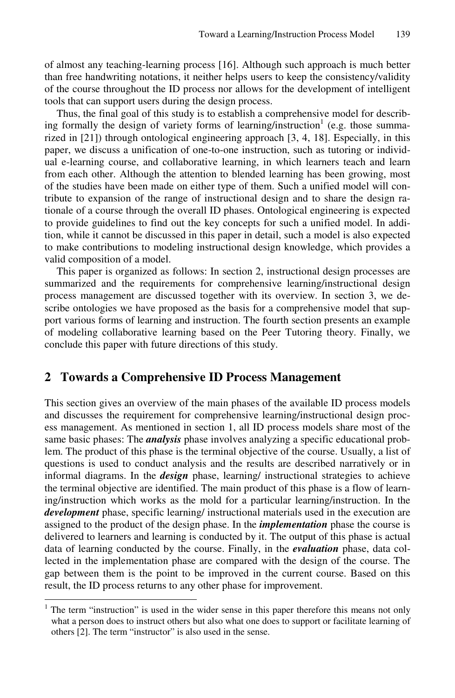of almost any teaching-learning process [16]. Although such approach is much better than free handwriting notations, it neither helps users to keep the consistency/validity of the course throughout the ID process nor allows for the development of intelligent tools that can support users during the design process.

Thus, the final goal of this study is to establish a comprehensive model for describing formally the design of variety forms of learning/instruction<sup>1</sup> (e.g. those summarized in [21]) through ontological engineering approach [3, 4, 18]. Especially, in this paper, we discuss a unification of one-to-one instruction, such as tutoring or individual e-learning course, and collaborative learning, in which learners teach and learn from each other. Although the attention to blended learning has been growing, most of the studies have been made on either type of them. Such a unified model will contribute to expansion of the range of instructional design and to share the design rationale of a course through the overall ID phases. Ontological engineering is expected to provide guidelines to find out the key concepts for such a unified model. In addition, while it cannot be discussed in this paper in detail, such a model is also expected to make contributions to modeling instructional design knowledge, which provides a valid composition of a model.

This paper is organized as follows: In section 2, instructional design processes are summarized and the requirements for comprehensive learning/instructional design process management are discussed together with its overview. In section 3, we describe ontologies we have proposed as the basis for a comprehensive model that support various forms of learning and instruction. The fourth section presents an example of modeling collaborative learning based on the Peer Tutoring theory. Finally, we conclude this paper with future directions of this study.

### **2 Towards a Comprehensive ID Process Management**

This section gives an overview of the main phases of the available ID process models and discusses the requirement for comprehensive learning/instructional design process management. As mentioned in section 1, all ID process models share most of the same basic phases: The *analysis* phase involves analyzing a specific educational problem. The product of this phase is the terminal objective of the course. Usually, a list of questions is used to conduct analysis and the results are described narratively or in informal diagrams. In the *design* phase, learning/ instructional strategies to achieve the terminal objective are identified. The main product of this phase is a flow of learning/instruction which works as the mold for a particular learning/instruction. In the *development* phase, specific learning/ instructional materials used in the execution are assigned to the product of the design phase. In the *implementation* phase the course is delivered to learners and learning is conducted by it. The output of this phase is actual data of learning conducted by the course. Finally, in the *evaluation* phase, data collected in the implementation phase are compared with the design of the course. The gap between them is the point to be improved in the current course. Based on this result, the ID process returns to any other phase for improvement.

l

<sup>&</sup>lt;sup>1</sup> The term "instruction" is used in the wider sense in this paper therefore this means not only what a person does to instruct others but also what one does to support or facilitate learning of others [2]. The term "instructor" is also used in the sense.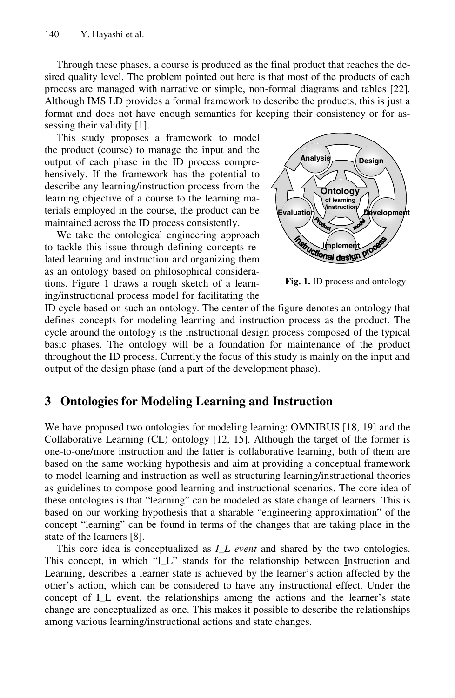Through these phases, a course is produced as the final product that reaches the desired quality level. The problem pointed out here is that most of the products of each process are managed with narrative or simple, non-formal diagrams and tables [22]. Although IMS LD provides a formal framework to describe the products, this is just a format and does not have enough semantics for keeping their consistency or for assessing their validity [1].

This study proposes a framework to model the product (course) to manage the input and the output of each phase in the ID process comprehensively. If the framework has the potential to describe any learning/instruction process from the learning objective of a course to the learning materials employed in the course, the product can be maintained across the ID process consistently.

We take the ontological engineering approach to tackle this issue through defining concepts related learning and instruction and organizing them as an ontology based on philosophical considerations. Figure 1 draws a rough sketch of a learning/instructional process model for facilitating the



**Fig. 1.** ID process and ontology

ID cycle based on such an ontology. The center of the figure denotes an ontology that defines concepts for modeling learning and instruction process as the product. The cycle around the ontology is the instructional design process composed of the typical basic phases. The ontology will be a foundation for maintenance of the product throughout the ID process. Currently the focus of this study is mainly on the input and output of the design phase (and a part of the development phase).

## **3 Ontologies for Modeling Learning and Instruction**

We have proposed two ontologies for modeling learning: OMNIBUS [18, 19] and the Collaborative Learning (CL) ontology [12, 15]. Although the target of the former is one-to-one/more instruction and the latter is collaborative learning, both of them are based on the same working hypothesis and aim at providing a conceptual framework to model learning and instruction as well as structuring learning/instructional theories as guidelines to compose good learning and instructional scenarios. The core idea of these ontologies is that "learning" can be modeled as state change of learners. This is based on our working hypothesis that a sharable "engineering approximation" of the concept "learning" can be found in terms of the changes that are taking place in the state of the learners [8].

This core idea is conceptualized as *I\_L event* and shared by the two ontologies. This concept, in which "I\_L" stands for the relationship between Instruction and Learning, describes a learner state is achieved by the learner's action affected by the other's action, which can be considered to have any instructional effect. Under the concept of I\_L event, the relationships among the actions and the learner's state change are conceptualized as one. This makes it possible to describe the relationships among various learning/instructional actions and state changes.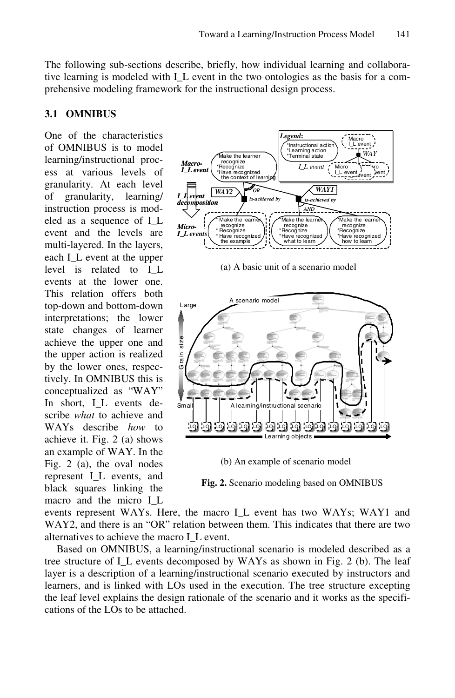The following sub-sections describe, briefly, how individual learning and collaborative learning is modeled with I\_L event in the two ontologies as the basis for a comprehensive modeling framework for the instructional design process.

#### **3.1 OMNIBUS**

One of the characteristics of OMNIBUS is to model learning/instructional process at various levels of granularity. At each level of granularity, learning/ instruction process is modeled as a sequence of I\_L event and the levels are multi-layered. In the layers, each I\_L event at the upper level is related to I\_L events at the lower one. This relation offers both top-down and bottom-down interpretations; the lower state changes of learner achieve the upper one and the upper action is realized by the lower ones, respectively. In OMNIBUS this is conceptualized as "WAY" In short, I\_L events describe *what* to achieve and WAYs describe *how* to achieve it. Fig. 2 (a) shows an example of WAY. In the Fig. 2 (a), the oval nodes represent I\_L events, and black squares linking the macro and the micro I\_L



(a) A basic unit of a scenario model



(b) An example of scenario model



events represent WAYs. Here, the macro I\_L event has two WAYs; WAY1 and WAY2, and there is an "OR" relation between them. This indicates that there are two alternatives to achieve the macro I\_L event.

Based on OMNIBUS, a learning/instructional scenario is modeled described as a tree structure of I\_L events decomposed by WAYs as shown in Fig. 2 (b). The leaf layer is a description of a learning/instructional scenario executed by instructors and learners, and is linked with LOs used in the execution. The tree structure excepting the leaf level explains the design rationale of the scenario and it works as the specifications of the LOs to be attached.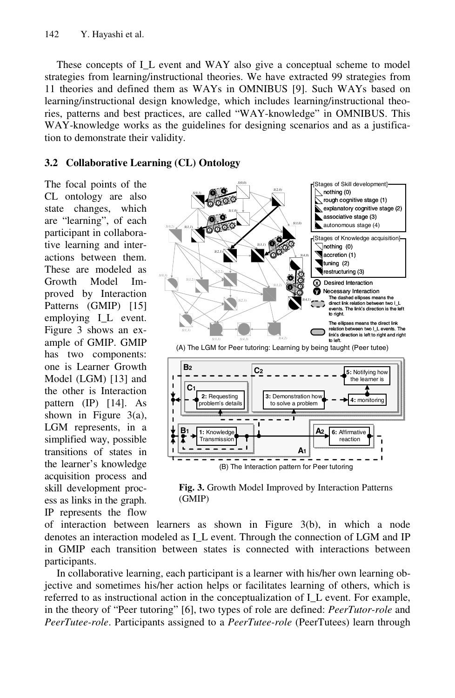These concepts of I\_L event and WAY also give a conceptual scheme to model strategies from learning/instructional theories. We have extracted 99 strategies from 11 theories and defined them as WAYs in OMNIBUS [9]. Such WAYs based on learning/instructional design knowledge, which includes learning/instructional theories, patterns and best practices, are called "WAY-knowledge" in OMNIBUS. This WAY-knowledge works as the guidelines for designing scenarios and as a justification to demonstrate their validity.

#### **3.2 Collaborative Learning (CL) Ontology**

The focal points of the CL ontology are also state changes, which are "learning", of each participant in collaborative learning and interactions between them. These are modeled as Growth Model Improved by Interaction Patterns (GMIP) [15] employing I L event. Figure 3 shows an example of GMIP. GMIP has two components: one is Learner Growth Model (LGM) [13] and the other is Interaction pattern (IP) [14]. As shown in Figure  $3(a)$ , LGM represents, in a simplified way, possible transitions of states in the learner's knowledge acquisition process and skill development process as links in the graph. IP represents the flow



**A1** (B) The Interaction pattern for Peer tutoring

**Fig. 3.** Growth Model Improved by Interaction Patterns (GMIP)

of interaction between learners as shown in Figure 3(b), in which a node denotes an interaction modeled as I\_L event. Through the connection of LGM and IP in GMIP each transition between states is connected with interactions between participants.

. . . . . .

 $\blacksquare$ 

 $\blacksquare$ 

In collaborative learning, each participant is a learner with his/her own learning objective and sometimes his/her action helps or facilitates learning of others, which is referred to as instructional action in the conceptualization of I\_L event. For example, in the theory of "Peer tutoring" [6], two types of role are defined: *PeerTutor-role* and *PeerTutee-role*. Participants assigned to a *PeerTutee-role* (PeerTutees) learn through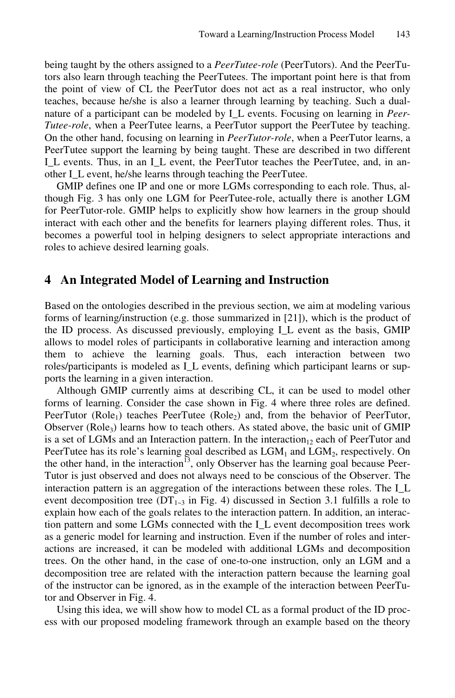being taught by the others assigned to a *PeerTutee-role* (PeerTutors). And the PeerTutors also learn through teaching the PeerTutees. The important point here is that from the point of view of CL the PeerTutor does not act as a real instructor, who only teaches, because he/she is also a learner through learning by teaching. Such a dualnature of a participant can be modeled by I\_L events. Focusing on learning in *Peer-Tutee-role*, when a PeerTutee learns, a PeerTutor support the PeerTutee by teaching. On the other hand, focusing on learning in *PeerTutor-role*, when a PeerTutor learns, a PeerTutee support the learning by being taught. These are described in two different I\_L events. Thus, in an I\_L event, the PeerTutor teaches the PeerTutee, and, in another I\_L event, he/she learns through teaching the PeerTutee.

GMIP defines one IP and one or more LGMs corresponding to each role. Thus, although Fig. 3 has only one LGM for PeerTutee-role, actually there is another LGM for PeerTutor-role. GMIP helps to explicitly show how learners in the group should interact with each other and the benefits for learners playing different roles. Thus, it becomes a powerful tool in helping designers to select appropriate interactions and roles to achieve desired learning goals.

### **4 An Integrated Model of Learning and Instruction**

Based on the ontologies described in the previous section, we aim at modeling various forms of learning/instruction (e.g. those summarized in [21]), which is the product of the ID process. As discussed previously, employing I\_L event as the basis, GMIP allows to model roles of participants in collaborative learning and interaction among them to achieve the learning goals. Thus, each interaction between two roles/participants is modeled as I\_L events, defining which participant learns or supports the learning in a given interaction.

Although GMIP currently aims at describing CL, it can be used to model other forms of learning. Consider the case shown in Fig. 4 where three roles are defined. PeerTutor (Role<sub>1</sub>) teaches PeerTutee (Role<sub>2</sub>) and, from the behavior of PeerTutor, Observer (Role<sub>3</sub>) learns how to teach others. As stated above, the basic unit of GMIP is a set of LGMs and an Interaction pattern. In the interaction<sub>12</sub> each of PeerTutor and PeerTutee has its role's learning goal described as  $LGM_1$  and  $LGM_2$ , respectively. On the other hand, in the interaction<sup>13</sup>, only Observer has the learning goal because Peer-Tutor is just observed and does not always need to be conscious of the Observer. The interaction pattern is an aggregation of the interactions between these roles. The I\_L event decomposition tree  $(DT_{1-3}$  in Fig. 4) discussed in Section 3.1 fulfills a role to explain how each of the goals relates to the interaction pattern. In addition, an interaction pattern and some LGMs connected with the I\_L event decomposition trees work as a generic model for learning and instruction. Even if the number of roles and interactions are increased, it can be modeled with additional LGMs and decomposition trees. On the other hand, in the case of one-to-one instruction, only an LGM and a decomposition tree are related with the interaction pattern because the learning goal of the instructor can be ignored, as in the example of the interaction between PeerTutor and Observer in Fig. 4.

Using this idea, we will show how to model CL as a formal product of the ID process with our proposed modeling framework through an example based on the theory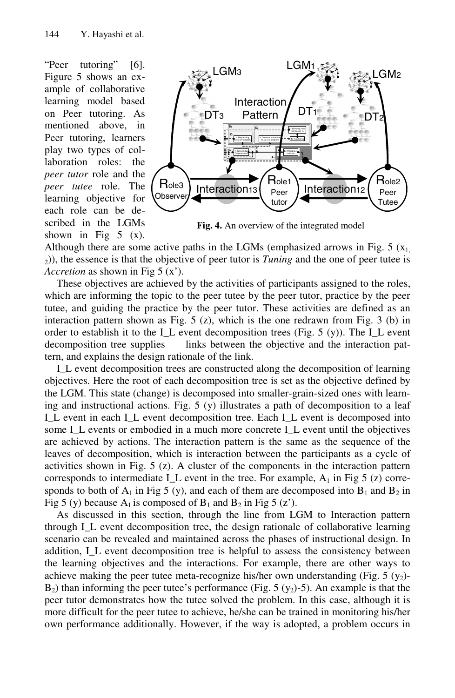"Peer tutoring" [6]. Figure 5 shows an example of collaborative learning model based on Peer tutoring. As mentioned above, in Peer tutoring, learners play two types of collaboration roles: the *peer tutor* role and the *peer tutee* role. The learning objective for each role can be described in the LGMs shown in Fig  $5(x)$ .



**Fig. 4.** An overview of the integrated model

Although there are some active paths in the LGMs (emphasized arrows in Fig. 5  $(x_1)$ ) 2)), the essence is that the objective of peer tutor is *Tuning* and the one of peer tutee is *Accretion* as shown in Fig 5 (x').

These objectives are achieved by the activities of participants assigned to the roles, which are informing the topic to the peer tutee by the peer tutor, practice by the peer tutee, and guiding the practice by the peer tutor. These activities are defined as an interaction pattern shown as Fig.  $5$  (z), which is the one redrawn from Fig.  $3$  (b) in order to establish it to the I\_L event decomposition trees (Fig. 5 (y)). The I\_L event decomposition tree supplies links between the objective and the interaction pattern, and explains the design rationale of the link.

I\_L event decomposition trees are constructed along the decomposition of learning objectives. Here the root of each decomposition tree is set as the objective defined by the LGM. This state (change) is decomposed into smaller-grain-sized ones with learning and instructional actions. Fig. 5 (y) illustrates a path of decomposition to a leaf I\_L event in each I\_L event decomposition tree. Each I\_L event is decomposed into some I L events or embodied in a much more concrete I L event until the objectives are achieved by actions. The interaction pattern is the same as the sequence of the leaves of decomposition, which is interaction between the participants as a cycle of activities shown in Fig. 5 (z). A cluster of the components in the interaction pattern corresponds to intermediate I\_L event in the tree. For example,  $A_1$  in Fig 5 (z) corresponds to both of  $A_1$  in Fig 5 (y), and each of them are decomposed into  $B_1$  and  $B_2$  in Fig 5 (y) because  $A_1$  is composed of  $B_1$  and  $B_2$  in Fig 5 (z').

As discussed in this section, through the line from LGM to Interaction pattern through I\_L event decomposition tree, the design rationale of collaborative learning scenario can be revealed and maintained across the phases of instructional design. In addition, I\_L event decomposition tree is helpful to assess the consistency between the learning objectives and the interactions. For example, there are other ways to achieve making the peer tutee meta-recognize his/her own understanding (Fig. 5  $(y<sub>2</sub>)$ )  $B_2$ ) than informing the peer tutee's performance (Fig. 5 (y<sub>2</sub>)-5). An example is that the peer tutor demonstrates how the tutee solved the problem. In this case, although it is more difficult for the peer tutee to achieve, he/she can be trained in monitoring his/her own performance additionally. However, if the way is adopted, a problem occurs in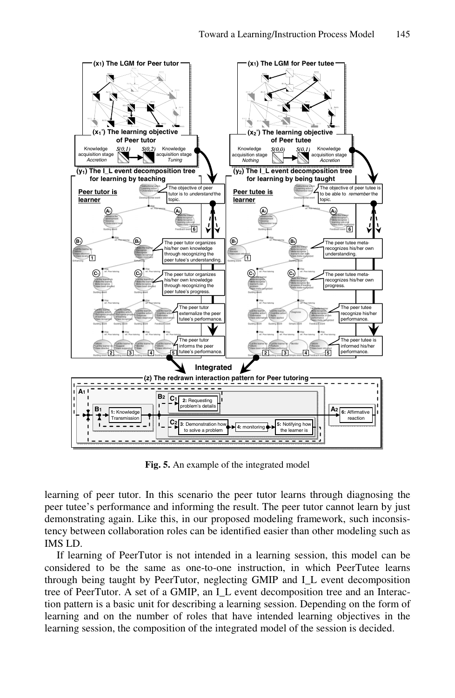

**Fig. 5.** An example of the integrated model

learning of peer tutor. In this scenario the peer tutor learns through diagnosing the peer tutee's performance and informing the result. The peer tutor cannot learn by just demonstrating again. Like this, in our proposed modeling framework, such inconsistency between collaboration roles can be identified easier than other modeling such as IMS LD.

If learning of PeerTutor is not intended in a learning session, this model can be considered to be the same as one-to-one instruction, in which PeerTutee learns through being taught by PeerTutor, neglecting GMIP and I\_L event decomposition tree of PeerTutor. A set of a GMIP, an I\_L event decomposition tree and an Interaction pattern is a basic unit for describing a learning session. Depending on the form of learning and on the number of roles that have intended learning objectives in the learning session, the composition of the integrated model of the session is decided.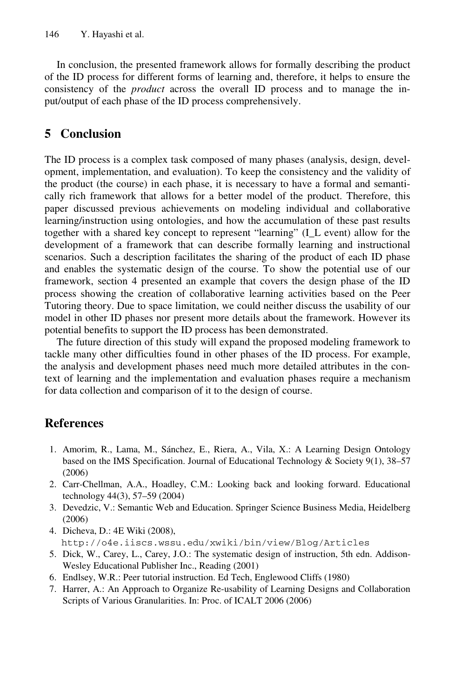In conclusion, the presented framework allows for formally describing the product of the ID process for different forms of learning and, therefore, it helps to ensure the consistency of the *product* across the overall ID process and to manage the input/output of each phase of the ID process comprehensively.

## **5 Conclusion**

The ID process is a complex task composed of many phases (analysis, design, development, implementation, and evaluation). To keep the consistency and the validity of the product (the course) in each phase, it is necessary to have a formal and semantically rich framework that allows for a better model of the product. Therefore, this paper discussed previous achievements on modeling individual and collaborative learning/instruction using ontologies, and how the accumulation of these past results together with a shared key concept to represent "learning" (I\_L event) allow for the development of a framework that can describe formally learning and instructional scenarios. Such a description facilitates the sharing of the product of each ID phase and enables the systematic design of the course. To show the potential use of our framework, section 4 presented an example that covers the design phase of the ID process showing the creation of collaborative learning activities based on the Peer Tutoring theory. Due to space limitation, we could neither discuss the usability of our model in other ID phases nor present more details about the framework. However its potential benefits to support the ID process has been demonstrated.

The future direction of this study will expand the proposed modeling framework to tackle many other difficulties found in other phases of the ID process. For example, the analysis and development phases need much more detailed attributes in the context of learning and the implementation and evaluation phases require a mechanism for data collection and comparison of it to the design of course.

## **References**

- 1. Amorim, R., Lama, M., Sánchez, E., Riera, A., Vila, X.: A Learning Design Ontology based on the IMS Specification. Journal of Educational Technology & Society 9(1), 38–57 (2006)
- 2. Carr-Chellman, A.A., Hoadley, C.M.: Looking back and looking forward. Educational technology 44(3), 57–59 (2004)
- 3. Devedzic, V.: Semantic Web and Education. Springer Science Business Media, Heidelberg (2006)
- 4. Dicheva, D.: 4E Wiki (2008), http://o4e.iiscs.wssu.edu/xwiki/bin/view/Blog/Articles
- 5. Dick, W., Carey, L., Carey, J.O.: The systematic design of instruction, 5th edn. Addison-Wesley Educational Publisher Inc., Reading (2001)
- 6. Endlsey, W.R.: Peer tutorial instruction. Ed Tech, Englewood Cliffs (1980)
- 7. Harrer, A.: An Approach to Organize Re-usability of Learning Designs and Collaboration Scripts of Various Granularities. In: Proc. of ICALT 2006 (2006)